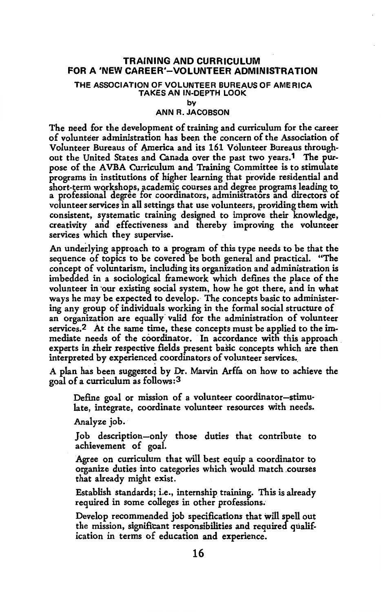# **TRAINING AND CURRICULUM FOR A 'NEW CAREER'-VOLUNTEER ADMINISTRATION**

#### THE **ASSOCIATION** OF VOLUNTEER **BUREAUS** OF **AMERICA TAKES AN** IN-DEPTH **LOOK**

**by** 

## ANN R. **JACOBSON**

The need for the development of training and curriculum for the career of volunteer administration has been the concern of the Association of Volunteer Bureaus of America and its 161 Volunteer Bureaus throughout the United States and Canada over the past two years.1 The purpose of the AVBA Curriculum and Training Committee is to stimulate programs in institutions of higher learning that provide residential and short-term workshops, academic courses and degree programs leading to a professional degree for coordinators, administrators and directors of volunteer services in all settings that use volunteers, providing them with consistent, systematic training designed to improve their knowledge, creativity and effectiveness and thereby improving the volunteer services which they supervise.

An underlying approach to a program of this type needs to be that the sequence of topics to be covered be both general and practical. "The concept of voluntarism, including its organization and administration is imbedded in a sociological framework which defines the place of the volunteer in our existing social system, how he got there, and in what ways he may be expected to develop. The concepts basic to administering any group of individuals working in the formal social structure of an organization are equally valid for the administration of volunteer services.2 At the same time, these concepts must be applied to the immediate needs of the coordinator. In accordance with this approach experts in their respective fields present basic concepts which are then interpreted by experienced coordinators of volunteer services.

A plan has been suggested by Dr. Marvin Arffa on how to achieve the goal of a curriculum as follows: 3

Define goal or mission of a volunteer coordinator-stimulate, integrate, coordinate volunteer resources with needs.

Analyze job.

Job description-only those duties that contribute to achievement of goal.

Agree on curriculum that will best equip a coordinator to organize duties into categories which would match .courses that already might exist.

Establish standards; i.e., internship training. This is already required in some colleges in other professions.·

Develop recommended job specifications that will spell out the mission, signifitant responsibilities and required qualification in terms of education and experience.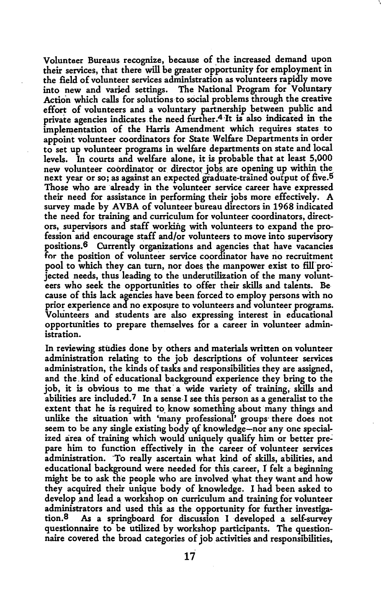Volunteer Bureaus recognize, because of the increased demand upon their services, that there will be greater opportunity for employment in the field of volunteer services administration as volunteers rapidly move into new and varied settings. The National Program for Voluntary Action which calls for solutions to social problems through the creative effort of volunteers and a voluntary partnership between public and private agencies indicates the need further.4·It is also indicated in the implementation of the Harris Amendment which requires states to appoint volunteer coordinators for State Welfare Departments in order to set up volunteer programs in welfare departments on state and local levels. In courts and welfare alone, it is probable that at least 5,000 new volunteer coordinator or director jobs are opening up within the next year or so; as against an expected graduate-trained output of five.5 Those who are already in the volunteer service career have expressed their need for assistance in performing their jobs more effectively. A survey made by **AVBA** of volunteer bureau directors in 1968 indicated the need for training and curriculum for volunteer coordinators, directors, supervisors and staff working with volunteers to expand the profession and encourage staff and/or volunteers to move into supervisory positions.<sup>6</sup> Currently organizations and agencies that have vacancies for the position of volunteer service coordinator have no recruitment pool to which they can turn, nor does the manpower exist to fill projected needs, thus leading to the underutilization of the many volunteers who seek the opportunities to offer their skills and talents. Because of this lack agencies have been forced to employ persons with no prior experience and no exposure to volunteers and volunteer programs. Volunteers and students are also expressing interest in educational opportunities to prepare themselves for a career in volunteer administration.

In reviewing studies done by others and materials written on volunteer administration relating to the job descriptions of volunteer services administration, the kinds of tasks and responsibilities they are assigned, and the. kind of educational background experience they bring to the job, it is obvious to me that a wide variety of training, skills and abilities are included.<sup>7</sup> In a sense-I see this person as a generalist to the extent that he is required to know something about many things and unlike the situation with 'many professional' groups· there does not seem to be any single existing body qf knowledge-nor any one specialized area of training which would uniquely qualify him or better prepare him to function effectively in the career of volunteer services administration. ·To really ascertain what kind of skills, abilities, and educational background were needed for this career, I felt a beginning might be to ask the people who are involved what they want and how they acquire4 their unique body of knowledge. I had been asked to develop and lead a workshop on curriculum and training for volunteer administrators and used this as the opportunity for further investigation. 8 As a springboard for discussion I developed a self-survey questionnaire to be utilized by workshop participants. The questionnaire covered the broad categories of job.activities and responsibilities,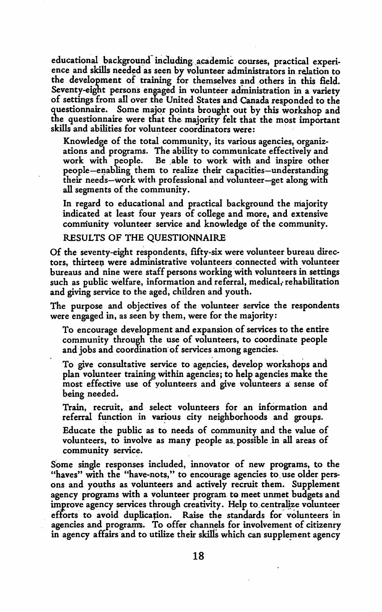educational background including academic courses, practical experience and skills needed as seen by volunteer administrators in relation to the development of training for themselves and others in this field. Seventy-eight persons engaged in volunteer administration in a variety of settings from all over the United States and Canada responded to the questionnaire. Some major points brought out by this workshop and the questionnaire were that the majority felt that the most important skills and abilities for volunteer coordinators were:

Knowledge of the total community, its various agencies, organizations and programs. The ability to communicate effectively and work with people. Be able to work with and inspire other people-enabling them to realize their capacities-understanding their needs-work with professional and volunteer-get along with all segments of the community.

In regard to educational and practical background the majority indicated at least four years of college and more, and extensive community volunteer service and knowledge of the community.

### RESULTS OF THE QUESTIONNAIRE

Of the seventy-eight respondents, fifty-six were volunteer bureau directors, thirteen were administrative volunteers connected with volunteer bureaus and nine were staff persons working with volunteers in settings such as public welfare, information and referral, medical, rehabilitation and giving service to the aged, children and youth.

The purpose and objectives of the volunteer service the respondents were engaged in, as seen by them, were for the majority:

To encourage development and expansion of services to the entire community through the use of volunteers, to coordinate people and jobs and coordination of services among agencies.

To give consultative service to agencies, develop workshops and plan volunteer training within agencies; to help agencies make the most effective use of yolunteers and give volunteers a: sense of being needed.

Train, recruit, and select volunteers for an information and referral function in various city neighborhoods and groups.

Educate the public as to needs of community and the value of volunteers, to involve as many people as possible in all areas of community service.

Some single responses included, innovator of new programs, to the "haves" with the "have-nots," to encourage agencies to use older persons and youths as volunteers and actively recruit them. Supplement agency programs with a volunteer program to meet unmet budgets and improve agency services through creativity. Help to centralize volunteer efforts to avoid duplication. Raise the standards for volunteers in agencies and programs. To offer channels for involvement of citizenry in agency affairs and to utilize their skills which can supplement agency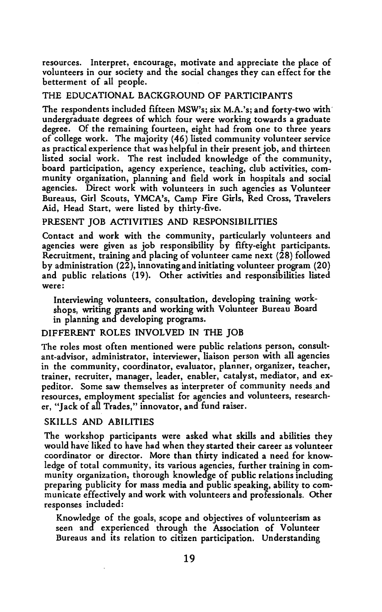resources. Interpret, encourage, motivate and appreciate the place of volunteers in our society and the social changes they can effect for the betterment of all people.

# THE EDUCATIONAL BACKGROUND OF PARTICIPANTS

The respondents included fifteen MSW's; six M.A.'s; and forty-two with' undergraduate degrees of which four were working towards a graduate degree. Of the remaining fourteen, eight had from one to three years of college work. The majority (46) listed community volunteer service as practical experience that was helpful in their present job, and thirteen listed social work. The rest included knowledge of the community, board participation, agency experience, teaching, club activities, community organization, planning and field work in hospitals and social agencies. Direct work with volunteers in such agencies as Volunteer Bureaus, Girl Scouts, YMCA's, Camp Fire Girls, Red Cross, Travelers Aid, Head Start, were listed by thirty-five.

# PRESENT JOB ACTIVITIES AND RESPONSIBILITIES

Contact and work with the community, particularly volunteers and agencies were given as job responsibility by fifty-eight participants. Recruitment, training and placing of volunteer came next (28) followed by administration (22), innovating and initiating volunteer program (20) and public relations (19). Other activities and responsibilities listed were:

Interviewing volunteers, consultation, developing training workshops, writing grants and working with Volunteer Bureau Board in planning and developing programs.

# DIFFERENT ROLES INVOLVED IN THE JOB

The roles most often mentioned were public relations person, consultant-advisor, administrator, interviewer, liaison person with all agencies in the community, coordinator, evaluator, planner, organizer, teacher, trainer, recruiter, manager, leader, enabler, catalyst, mediator, and expeditor. Some saw themselves as interpreter of community needs and resources, employment specialist for agencies and volunteers, researcher, "Jack of all Trades," innovator, and fund raiser.

### SKILLS AND ABILITIES

The workshop participants were asked what skills and abilities they would have liked to have had when they started their career as volunteer coordinator or director. More than thirty indicated a need for knowledge of total community, its various agencies, further training in community organization, thorough knowledge of public relations including preparing publicity for mass media and public speaking, ability to communicate effectively and work with volunteers and professionals. Other responses included:

Knowledge of the goals, scope and objectives of volunteerism as seen and experienced through the Association of Volunteer Bureaus and its relation to citizen participation. Understanding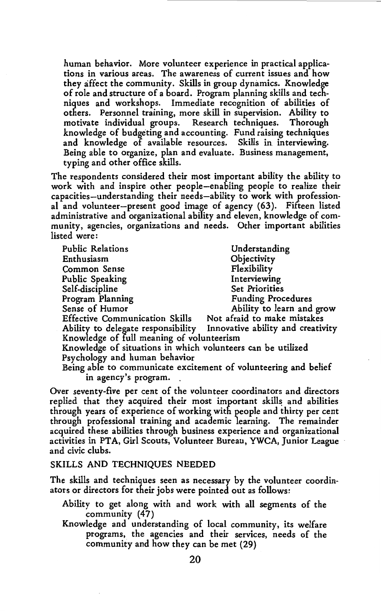human behavior. More volunteer experience in practical applications in various areas. The awareness of current issues and how they affect the community. Skills in group dynamics. Knowledge of role and structure of a board. Program planning skills and techniques and workshops. Immediate recognition of abilities of others. Personnel training, more skill in supervision. Ability to motivate individual groups. Research techniques. Thorough knowledge of budgeting and accounting. Fund raising techniques and knowledge of available resources. Skills in. interviewing. Being able to organize, plan and evaluate. Business management, typing and other office skills.

The respondents considered their most important ability the ability to work with and inspire other people-enabling people to realize their capacities-understanding their needs-ability to work with professional and volunteer-present good image of agency (63). Fifteen listed administrative and organizational ability and eleven, knowledge of community, agencies, organizations and needs. Other important abilities listed were:

| <b>Public Relations</b>                                         | Understanding                     |
|-----------------------------------------------------------------|-----------------------------------|
| Enthusiasm                                                      | Objectivity                       |
| Common Sense                                                    | Flexibility                       |
| Public Speaking                                                 | Interviewing                      |
| Self-discipline                                                 | <b>Set Priorities</b>             |
| Program Planning                                                | <b>Funding Procedures</b>         |
| Sense of Humor                                                  | Ability to learn and grow         |
| <b>Effective Communication Skills</b>                           | Not afraid to make mistakes       |
| Ability to delegate responsibility                              | Innovative ability and creativity |
| Knowledge of full meaning of volunteerism                       |                                   |
| Knowledge of situations in which volunteers can be utilized     |                                   |
| Psychology and human behavior                                   |                                   |
| Being able to communicate excitement of volunteering and belief |                                   |

in agency's program.

Over seventy-five per cent of the volunteer coordinators and directors replied that they acquired their most important skills and abilities through years of experience of working with people and thirty per cent through professional training and academic learning. The remainder acquired these abilities through business experience and organizational activities in PTA, Girl Scouts, Volunteer Bureau, YWCA, Junior League and civic clubs.

## SKILLS AND TECHNIQUES NEEDED

The skills and techniques seen as necessary by the volunteer coordinators or directors for their jobs were pointed out as follows:

- Ability to get along with and work with all segments of the community (47)
- Knowledge and understanding of local community, its welfare programs, the agencies and their services, needs of the community and how they can be met (29)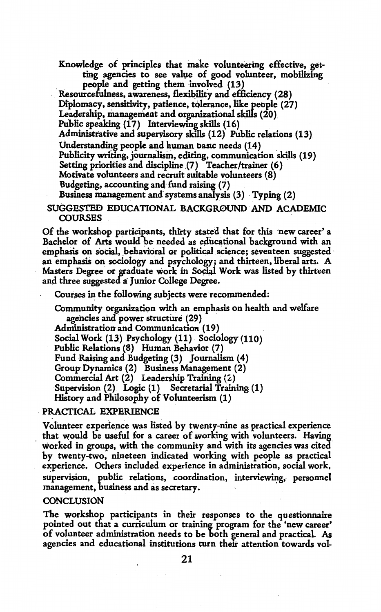Knowledge of principles that make volunteering effective, getting agencies to see value of good volunteer, mobilizing people and getting them involved  $(13)$ 

Resourcefulness, awareness, flexibility and efficiency (28) Diplomacy, sensitivity, patience, tolerance, like people  $(27)$ Leadership, management and organizational skills  $(20)$ . Public speaking  $(17)$  Interviewing skills  $(16)$ Administrative and supervisory skills (12) Public relations (13). Understanding people and human basic needs (14) Publicity writing, journalism, editing, communication skills (19) Setting priorities and discipline (7) Teacher/trainer (6) Motivate volunteers and recruit suitable volunteers (8) Budgeting, accounting and fund raising (7) Business management and systems analysis (3) Typing (2)

SUGGESTED EDUCATIONAL BACKGR0UND · AND ACADEMIC COURSES

Of the workshop participants, thirty stated that for this 'new career' a Bachelor of Arts would be needed as educational background with an emphasis on social, behavioral or political science; seventeen suggested an emphasis on sociology and psychology; and thirteen, liberal arts. A Masters Degree or graduate work in Social Work was listed by thirteen and three suggested a: Junior College Degree.

Courses in the following subjects were recommended:

Community organization with an emphasis on health and welfare agencies and power structure (29) Administration and Communication (19).

Social Work (13) Psychology (11) Sociology (110)

Public Relations (8) Human Behavior (7)

Fund Raising and Budgeting (3) Journalism (4)

Group· Dynamics (2) Business Management (2)

Commercial Art (2) Leadership Training (2)

Supervision {2) Logic (1) Secretarial Training (1)

History and Philosophy of Volunteerism (1)

# . **PRACTICAL** EXPERIENCE

Volunteer experience was listed by twenty-nine as practical experience that would be useful for a career of working with volunteers. Having worked in groups, with the community and with its agencies was cited by twenty-two, nineteen indicated working with people as practical experience. Others included experience in administration, social work, supervision, public relations, coordination, interviewing, personnel management, business and as secretary.

## **CONCLUSION**

The workshop participants in their responses to the questionnaire pointed out that a curriculum or training program for the 'new career' of volunteer administration needs to be both general and practical. As agencies and educational institutions turn their attention towards vol-